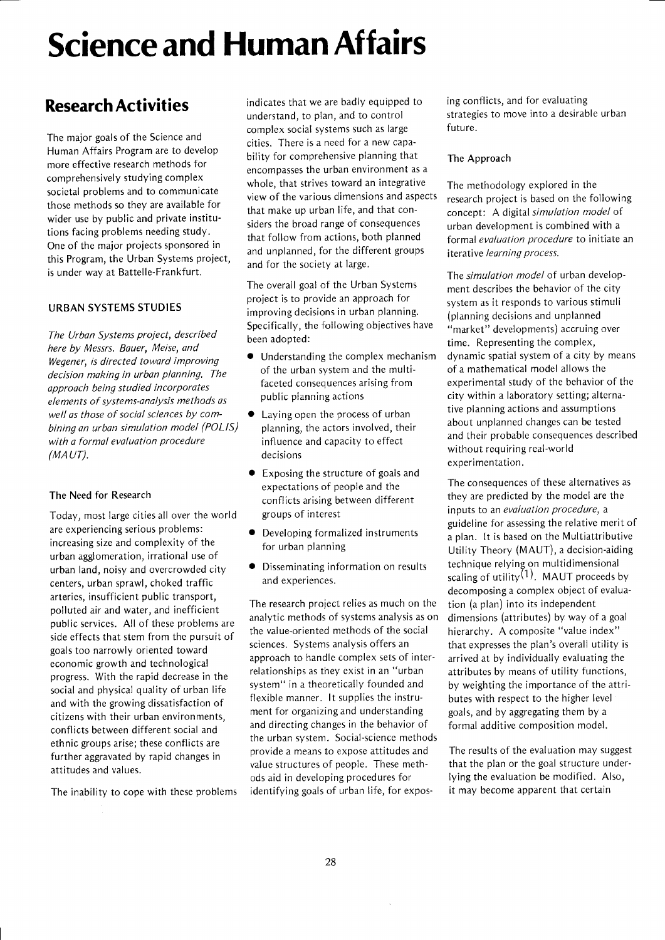# Science and Human Affairs

# Research Activities

The major goals of the Science and Human Affairs Program are to develop more effective research methods for comprehensively studying complex societal problems and to communicate those methods so they are available for wider use by public and private institutions facing problems needing study. One of the major proiects sponsored in this Program, the Urban Systems proiect, is under way at Battelle-Frankfurt.

## URBAN SYSTEMS STUDIES

The Urban Systems proiect, described here by Messrs. Bouer, Meise, and Wegener, is directed toward improving decision making in urban planning, The approach being studied incorporates elements of systems-analysis methods as well as those of social sciences by combining an urban simulation model (POLIS) with a formal evaluation procedure  $(MAUT)$ .

## The Need for Research

Today, most large cities all over the world are experiencing serious problems: increasing size and complexity of the urban agglomeration, irrational use of urban land, noisy and overcrowded city centers, urban sprawl, choked traffic arteries, insufficient public transport, polluted air and water, and inefficient public services. All of these problems are side effects that stem from the pursuit of goals too narrowly oriented toward economic growth and technological progress. With the rapid decrease in the social and physical quality of urban life and with the growing dissatisfaction of citizens with their urban environments, conflicts between different social and ethnic groups arise; these conflicts are further aggravated by rapid changes in attitudes and values.

The inability to cope with these problems

indicates that we are badly equipped to understand, to plan, and to control complex social systems such as large cities. There is a need for a new capability for comprehensive planning that encompasses the urban environment as <sup>a</sup> whole, that strives toward an integrative view of the various dimensions and aspects that make up urban life, and that considers the broad range of consequences that follow from actions, both planned and unplanned, for the different groups and for the society at large.

The overall goal of the Urban Systems project is to provide an approach for improving decisions in urban planning. Specifically, the following objectives have been adopted:

- $\bullet$  Understanding the complex mechanism of the urban system and the multifaceted consequences arising from public planning actions
- $\bullet$  Laying open the process of urban planning, the actors involved, their influence and capacity to effect decisions
- $\bullet$  Exposing the structure of goals and expectations of people and the conflicts arising between different groups of interest
- $\bullet$  Developing formalized instruments for urban planning
- o Disseminating information on results and experiences.

The research project relies as much on the analytic methods of systems analysis as on the value-oriented methods of the social sciences. Systems analysis offers an approach to handle complex sets of interrelationships as they exist in an "urban system" in a theoretically founded and flexible manner. lt supplies the instrument for organizingand understanding and directing changes in the behavior of the urban system. Social-science methods provide a means to expose attitudes and value structures of people. These methods aid in developing procedures for identifying goals of urban life, for expos-

ing conflicts, and for evaluating strategies to move into a desirable urban future.

#### The Approach

The methodology explored in the research project is based on the following concept: A digital simulation model of urban development is combined with <sup>a</sup> formal evaluation procedure to initiate an iterative learning process.

The *simulation model* of urban development describes the behavior of the city system as it responds to various stimuli (planning decisions and unplanned "market" developments) accruing over time. Representing the complex, dynamic spatial system of a city by means of a mathematical model allows the experimental study of the behavior of the city within a laboratory setting; alternative planning actions and assumptions about unplanned changes can be tested and their probable consequences described without requiring real-world experimentation.

The consequences of these alternatives as they are predicted by the model are the inputs to an evaluation procedure, a guideline for assessing the relative merit of a plan. lt is based on the Multiattributive Utility Theory (MAUT), a decision-aiding technique relying on multidimensional scaling of utility<sup>(1)</sup>. MAUT proceeds by decomposing a complex obiect of evaluation (a plan) into its independent dimensions (attributes) by way of a goal hierarchy. A composite "value index" that expresses the plan's overall utility is arrived at by individually evaluating the attributes by means of utility functions, by weighting the importance of the attributes with respect to the higher level goals, and by aggregating them by <sup>a</sup> formal additive composition model.

The results of the evaluation may suggest that the plan or the goal structure underlying the evaluation be modified. Also, it may become apparent that certain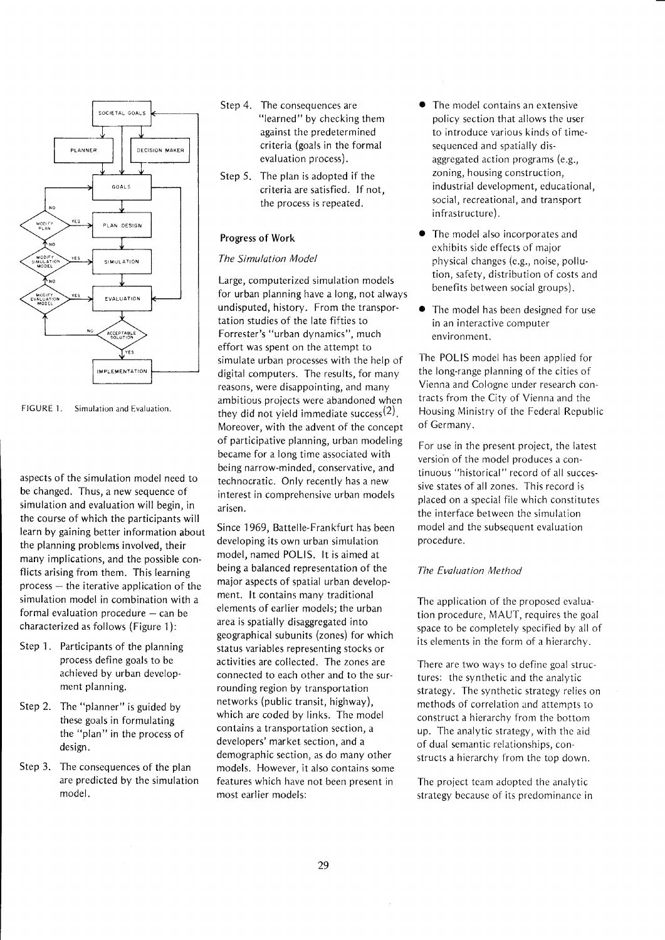

FIGURE 1. Simulation and Evaluation.

aspects of the simulation model need to be changed. Thus, a new sequence of simulation and evaluation will begin, in the course of which the participants will learn by gaining better information about the planning problems involved, their many implications, and the possible conflicts arising from them. This learning  $process - the iterative application of the$ simulation model in combination with a formal evaluation procedure  $-$  can be characterized as follows (Figure 1):

- Step 1. Participants of the planning process define goals to be achieved by urban development planning.
- Step 2. The "planner" is guided by these goals in formulating the "plan" in the process of design.
- Step 3. The consequences of the plan are predicted by the simulation model.
- Step 4. The consequences are "learned" by checking them against the predetermined criteria (goals in the formal evaluation process).
- Step 5. The plan is adopted if the criteria are satisfied. lf not, the process is repeated.

#### Progress of Work

#### The Simulation Model

Large, compu terized simulation models for urban planning have a long, not always undisputed, history. From the transportation studies of the late fifties to Forrester's "urban dynamics", much effort was spent on the attempt to simulate urban processes with the help of digital computers. The results, for many reasons, were disappointing, and many ambitious proiects were abandoned when they did not yield immediate success<sup>(2)</sup>. Moreover, with the advent of the concept of participative planning, urban modeling became for a long time associated with being narrow-minded, conservative, and technocratic. Only recently has a new interest in comprehensive urban models arisen.

Since 1969, Battelle-Frankfurt has been developing its own urban simulation model, named POLIS. lt is aimed at being a balanced representation of the maior aspects of spatial urban development. lt contains many traditional elements of earlier models; the urban area is spatially disaggregated into geographical subunits (zones) for which status variables representing stocks or activities are collected. The zones are connected to each other and to the surrounding region by transportation networks (public transit, highway), which are coded by links. The model contains a transportation section, a developers' market section, and <sup>a</sup> demographic section, as do many other models. However, it also contains some features which have not been present in most earlier models:

- The model contains an extensive policy section that allows the user to introduce various kinds of timesequenced and spatially disaggregated action programs (e.g., zoning, housing construction, industrial development, educational, social, recreational, and transport infrastructure).
- The model also incorporates and cxhibits sidc effects of maior physical changes (e.g., noise, pollution, safety, distribution of costs and benefits between social groups).
- The model has been designed for use in an interactive computer environment.

The POLIS model has been applied for the long-range planning of the cities of Vienna and Cologne under research contracts from the City of Vienna and the Housing Ministry of the Federal Rcpublic of Germany.

For use in the present project, the latest version of the model produces a continuous "historical" record of all successive states of all zones. This record is placed on a special file which constitutes the interface between the simulation model and the subsequent evaluation procedure.

#### The Evaluation Method

The application of the proposed evaluation procedure, MAUT, requires the goal space to be completely specified by all of its elements in the form of a hierarchy.

There are two ways to define goal structures: the synthetic and the analytic strategy. The synthetic strategy relies on methods of correlation and attempts to construct a hierarchy from the bottom up. The analytic strategy, with thc aid of dual semantic relationships, constructs a hierarchy from the top down.

The project tcam adopted the analytic strategy because of its predominancc in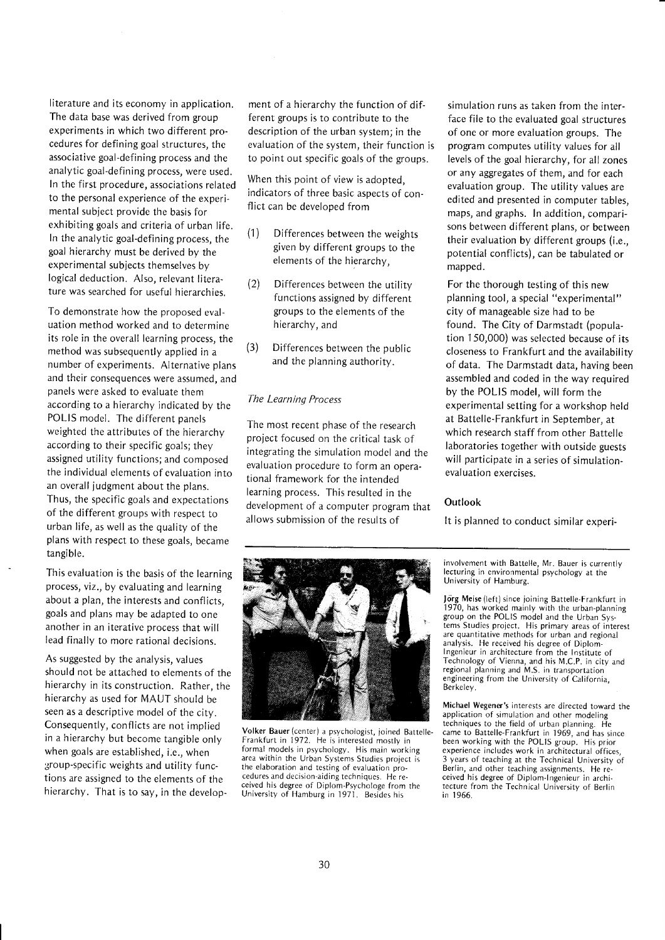literature and its economy in application. The data base was derived from group experiments in which two different procedures for defining goal structures, the associative goal-defining process and the analytic goal-defining process, were used. In the first procedure, associations related to the personal experience of the experimental subject provide the basis for exhibiting goals and criteria of urban life. ln the analytic goal-defining process, the goal hierarchy must be derived by the experimental subjects themselves by logical deduction. Also, relevant literature was searched for useful hierarchies.

To demonstrate how the proposed evaluation method worked and to determine its role in the overall learning process, the method was subsequently applied in a number of experiments. Alternative plans and their consequences were assumed, and panels were asked to evaluate them according to a hierarchy indicated by the POLIS model. The different panels weighted the attributes of the hierarchy according to their specific goals; they assigned utility functions; and composed the individual elements of evaluation into an overall judgment about the plans. Thus, the specific goals and expectations of the different groups with respect to urban life, as well as the quality of the plans with respect to these goals, became tangible.

This evaluation is the basis of the learning process, viz.,by evaluating and learning about a plan, the interests and conflicts, goals and plans may be adapted to one another in an iterative process that will Iead finally to more rational decisions.

As suggested by the analysis, values should not be attached to elements of the hierarchy in its construction. Rather, the hierarchy as used for MAUT should be seen as a descriptive model of the city. Consequently, conflicts are not implied in a hierarchy but become tangible only when goals are established, i.e., when 3,roup-specific weights and utility functions are assigned to the elements of the hierarchy. That is to say, in the development of a hierarchy the function of different groups is to contribute to the description of the urban system; in the evaluation of the system, their function is to point out specific goals of the groups.

When this point of view is adopted. indicators of three basic aspects of conflict can be developed from

- (1) Differences between the weights given by different groups to the elements of the hierarchy,
- (2) Differences between the utility functions assigned by different groups to the elements of the hierarchy, and
- (3) Differences between the public and the planning authority.

#### The Learning Process

The most recent phase of the research project focused on the critical task of integrating the simulation model and the evaluation procedure to form an operational framework for the intended learning process. This resulted in the development of a computer program that allows submission of the results of



Volker Bauer(center) a psychologist, joined Battelle. Frankfurt in 1972. He is interested mostly in formal models in psychology. His main working area within the Urban Systems Studies project is the elaboration and testing of evaluation procedures and decision-aiding techniques. He received his degree of Diplom-Psychologe from the University of Hamburg in 1971. Besides his

simulation runs as taken from the interface file to the evaluated goal structures of one or more evaluation groups. The program computes utility values for all levels of the goal hierarchy, for all zones or any aggregates of them, and for each evaluation group. The utility values are edited and presented in computer tables, maps, and graphs. ln addition, comparisons between different plans, or between their evaluation by different groups (i.e,, potential conflicts), can be tabulated or mapped.

For the thorough testing of this new planning tool, a special "experimental" city of manageable size had to be found. The City of Darmstadt (population 150,000) was selected because of its closeness to Frankfurt and the availability of data. The Darmstadt data, having been assembled and coded in the way required by the POLIS model, will form the experimental setting for a workshop held at Battelle-Frankfurt in September, at which research staff from other Battelle laboratories together with outside guests will participate in a series of simulationevaluation exercises.

#### **Outlook**

It is planned to conduct similar experi-

involvement with Battelle, Mr. Bauer is currently lecturing in environmental psychology at the University of Hamburg.

Jörg Meise (left) since joining Battelle-Frankfurt in<br>1970, has worked mainly with the urban-planning group on the POLIS model and the Urban Systems Studies project. His primary areas of interest are quantitative methods for urban and regional analysis. He received his degree of Diplomlngenieur in architecture from the Institute of Technology of Vienna, and his M.C.P. in city and regional planning and M.S. in transportation engineering from the University of California, Berkeley.

Michael Wegener's inlerests are directed toward the application of simulation and other modeling techniques to the field of urban planning. He came to Battelle-Frankfurt in 1969, and has since been working with the POLIS group. His prior experience includes work in architectural offices, 3 years of teaching at the Technical University of Berlin, and other teaching assignments. He received his degree of Diplom-lngenieur in architecture from the Technical University of Berlin in 1966.